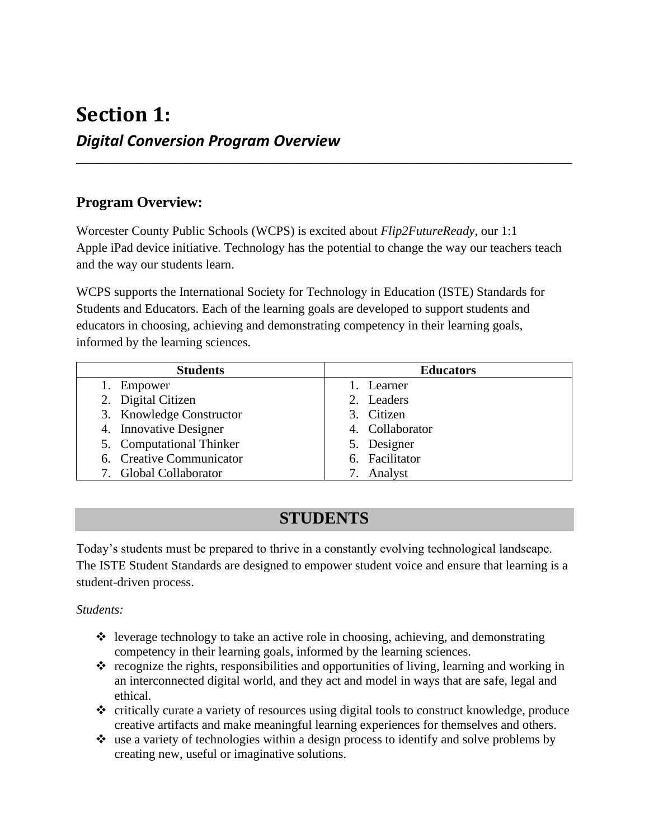### **Section 1:** *Digital Conversion Program Overview*

### **Program Overview:**

Worcester County Public Schools (WCPS) is excited about *Flip2FutureReady*, our 1:1 Apple iPad device initiative. Technology has the potential to change the way our teachers teach and the way our students learn.

\_\_\_\_\_\_\_\_\_\_\_\_\_\_\_\_\_\_\_\_\_\_\_\_\_\_\_\_\_\_\_\_\_\_\_\_\_\_\_\_\_\_\_\_\_\_\_\_\_\_\_\_\_\_\_\_\_\_\_\_\_\_\_\_\_\_\_\_\_\_\_\_\_\_\_\_\_\_

WCPS supports the International Society for Technology in Education (ISTE) Standards for Students and Educators. Each of the learning goals are developed to support students and educators in choosing, achieving and demonstrating competency in their learning goals, informed by the learning sciences.

| <b>Students</b>          | <b>Educators</b> |
|--------------------------|------------------|
| 1. Empower               | 1. Learner       |
| 2. Digital Citizen       | 2. Leaders       |
| 3. Knowledge Constructor | 3. Citizen       |
| 4. Innovative Designer   | 4. Collaborator  |
| 5. Computational Thinker | 5. Designer      |
| 6. Creative Communicator | 6. Facilitator   |
| 7. Global Collaborator   | 7. Analyst       |

### **STUDENTS**

Today's students must be prepared to thrive in a constantly evolving technological landscape. The ISTE Student Standards are designed to empower student voice and ensure that learning is a student-driven process.

#### *Students:*

- $\triangleleft$  leverage technology to take an active role in choosing, achieving, and demonstrating competency in their learning goals, informed by the learning sciences.
- $\hat{\mathbf{v}}$  recognize the rights, responsibilities and opportunities of living, learning and working in an interconnected digital world, and they act and model in ways that are safe, legal and ethical.
- ❖ critically curate a variety of resources using digital tools to construct knowledge, produce creative artifacts and make meaningful learning experiences for themselves and others.
- ❖ use a variety of technologies within a design process to identify and solve problems by creating new, useful or imaginative solutions.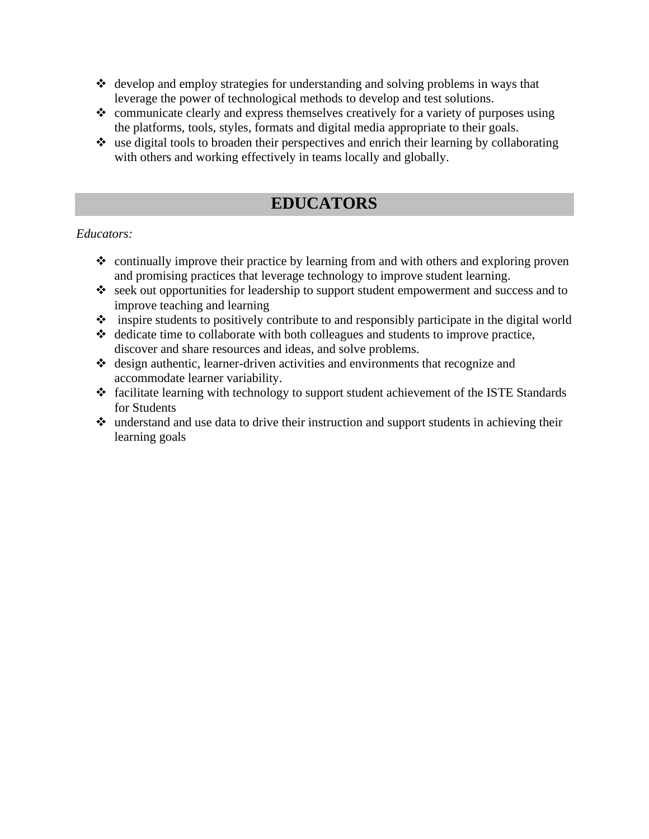- ❖ develop and employ strategies for understanding and solving problems in ways that leverage the power of technological methods to develop and test solutions.
- ❖ communicate clearly and express themselves creatively for a variety of purposes using the platforms, tools, styles, formats and digital media appropriate to their goals.
- ❖ use digital tools to broaden their perspectives and enrich their learning by collaborating with others and working effectively in teams locally and globally.

### **EDUCATORS**

#### *Educators:*

- ❖ continually improve their practice by learning from and with others and exploring proven and promising practices that leverage technology to improve student learning.
- ❖ seek out opportunities for leadership to support student empowerment and success and to improve teaching and learning
- ❖ inspire students to positively contribute to and responsibly participate in the digital world
- ❖ dedicate time to collaborate with both colleagues and students to improve practice, discover and share resources and ideas, and solve problems.
- ❖ design authentic, learner-driven activities and environments that recognize and accommodate learner variability.
- ❖ facilitate learning with technology to support student achievement of the ISTE Standards for Students
- ❖ understand and use data to drive their instruction and support students in achieving their learning goals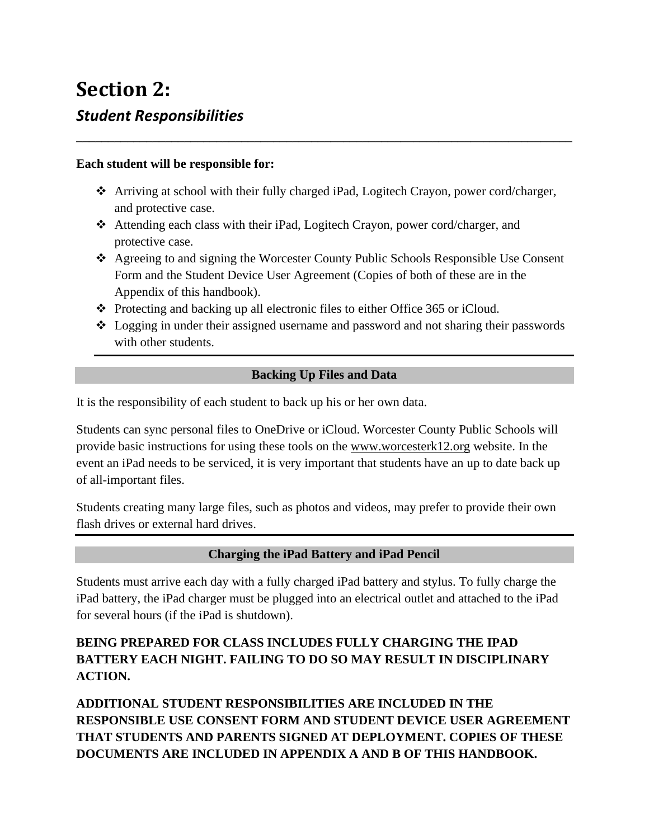# **Section 2:** *Student Responsibilities*

#### **Each student will be responsible for:**

❖ Arriving at school with their fully charged iPad, Logitech Crayon, power cord/charger, and protective case.

**\_\_\_\_\_\_\_\_\_\_\_\_\_\_\_\_\_\_\_\_\_\_\_\_\_\_\_\_\_\_\_\_\_\_\_\_\_\_\_\_\_\_\_\_\_\_\_\_\_\_\_\_\_\_\_\_\_\_\_\_\_\_\_\_\_\_\_\_\_\_\_\_\_\_\_\_\_\_**

- ❖ Attending each class with their iPad, Logitech Crayon, power cord/charger, and protective case.
- ❖ Agreeing to and signing the Worcester County Public Schools Responsible Use Consent Form and the Student Device User Agreement (Copies of both of these are in the Appendix of this handbook).
- ❖ Protecting and backing up all electronic files to either Office 365 or iCloud.
- ❖ Logging in under their assigned username and password and not sharing their passwords with other students.

#### **Backing Up Files and Data**

It is the responsibility of each student to back up his or her own data.

Students can sync personal files to OneDrive or iCloud. Worcester County Public Schools will provide basic instructions for using these tools on the [www.worcesterk12.org](http://www.worcesterk12.org/) website. In the event an iPad needs to be serviced, it is very important that students have an up to date back up of all-important files.

Students creating many large files, such as photos and videos, may prefer to provide their own flash drives or external hard drives.

#### **Charging the iPad Battery and iPad Pencil**

Students must arrive each day with a fully charged iPad battery and stylus. To fully charge the iPad battery, the iPad charger must be plugged into an electrical outlet and attached to the iPad for several hours (if the iPad is shutdown).

#### **BEING PREPARED FOR CLASS INCLUDES FULLY CHARGING THE IPAD BATTERY EACH NIGHT. FAILING TO DO SO MAY RESULT IN DISCIPLINARY ACTION.**

**ADDITIONAL STUDENT RESPONSIBILITIES ARE INCLUDED IN THE RESPONSIBLE USE CONSENT FORM AND STUDENT DEVICE USER AGREEMENT THAT STUDENTS AND PARENTS SIGNED AT DEPLOYMENT. COPIES OF THESE DOCUMENTS ARE INCLUDED IN APPENDIX A AND B OF THIS HANDBOOK.**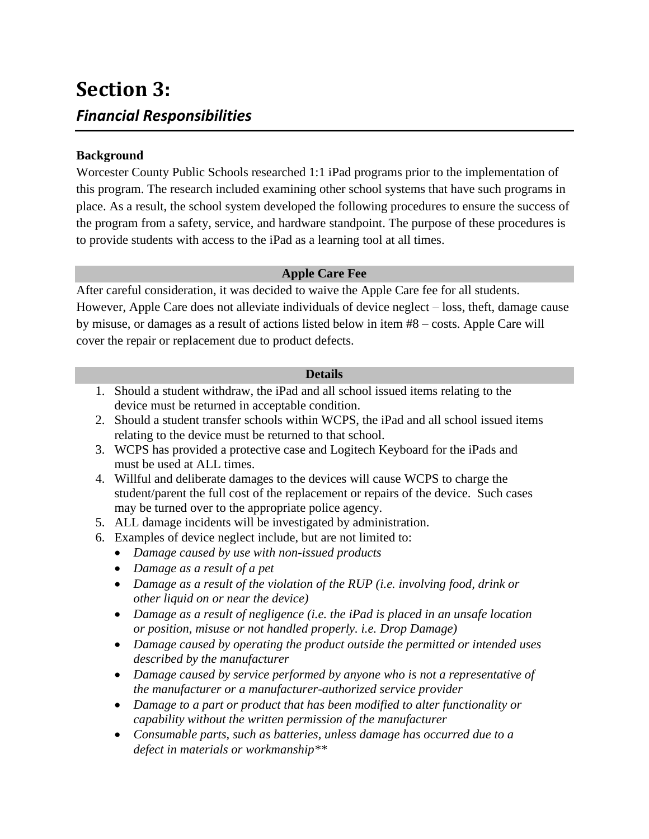## **Section 3:** *Financial Responsibilities*

#### **Background**

Worcester County Public Schools researched 1:1 iPad programs prior to the implementation of this program. The research included examining other school systems that have such programs in place. As a result, the school system developed the following procedures to ensure the success of the program from a safety, service, and hardware standpoint. The purpose of these procedures is to provide students with access to the iPad as a learning tool at all times.

#### **Apple Care Fee**

After careful consideration, it was decided to waive the Apple Care fee for all students. However, Apple Care does not alleviate individuals of device neglect – loss, theft, damage cause by misuse, or damages as a result of actions listed below in item #8 – costs. Apple Care will cover the repair or replacement due to product defects.

#### **Details**

- 1. Should a student withdraw, the iPad and all school issued items relating to the device must be returned in acceptable condition.
- 2. Should a student transfer schools within WCPS, the iPad and all school issued items relating to the device must be returned to that school.
- 3. WCPS has provided a protective case and Logitech Keyboard for the iPads and must be used at ALL times.
- 4. Willful and deliberate damages to the devices will cause WCPS to charge the student/parent the full cost of the replacement or repairs of the device. Such cases may be turned over to the appropriate police agency.
- 5. ALL damage incidents will be investigated by administration.
- 6. Examples of device neglect include, but are not limited to:
	- *Damage caused by use with non-issued products*
	- *Damage as a result of a pet*
	- *Damage as a result of the violation of the RUP (i.e. involving food, drink or other liquid on or near the device)*
	- *Damage as a result of negligence (i.e. the iPad is placed in an unsafe location or position, misuse or not handled properly. i.e. Drop Damage)*
	- *Damage caused by operating the product outside the permitted or intended uses described by the manufacturer*
	- *Damage caused by service performed by anyone who is not a representative of the manufacturer or a manufacturer-authorized service provider*
	- *Damage to a part or product that has been modified to alter functionality or capability without the written permission of the manufacturer*
	- *Consumable parts, such as batteries, unless damage has occurred due to a defect in materials or workmanship\*\**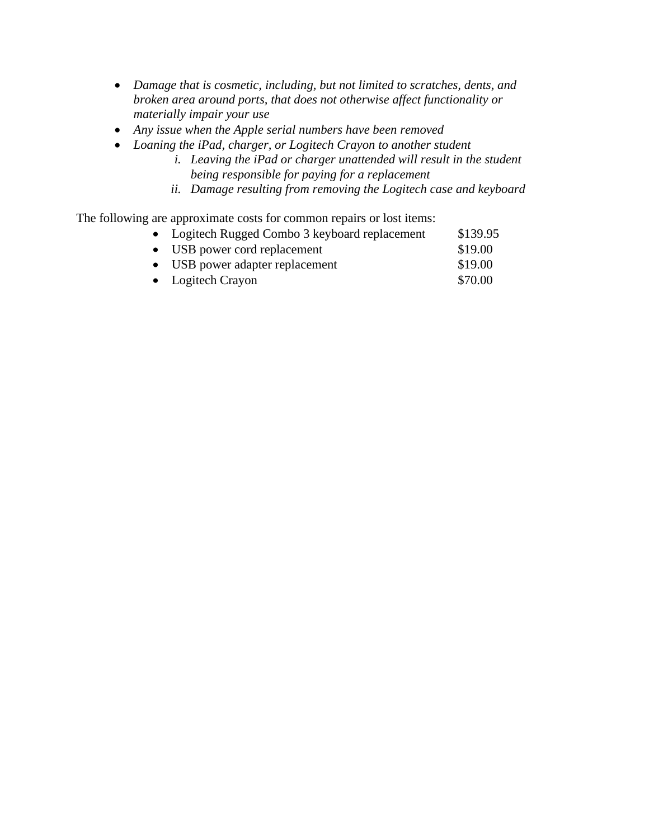- *Damage that is cosmetic, including, but not limited to scratches, dents, and broken area around ports, that does not otherwise affect functionality or materially impair your use*
- *Any issue when the Apple serial numbers have been removed*
- *Loaning the iPad, charger, or Logitech Crayon to another student*
	- *i. Leaving the iPad or charger unattended will result in the student being responsible for paying for a replacement*
	- *ii. Damage resulting from removing the Logitech case and keyboard*

The following are approximate costs for common repairs or lost items:

| • Logitech Rugged Combo 3 keyboard replacement | \$139.95 |
|------------------------------------------------|----------|
| • USB power cord replacement                   | \$19.00  |
| • USB power adapter replacement                | \$19.00  |
| • Logitech Crayon                              | \$70.00  |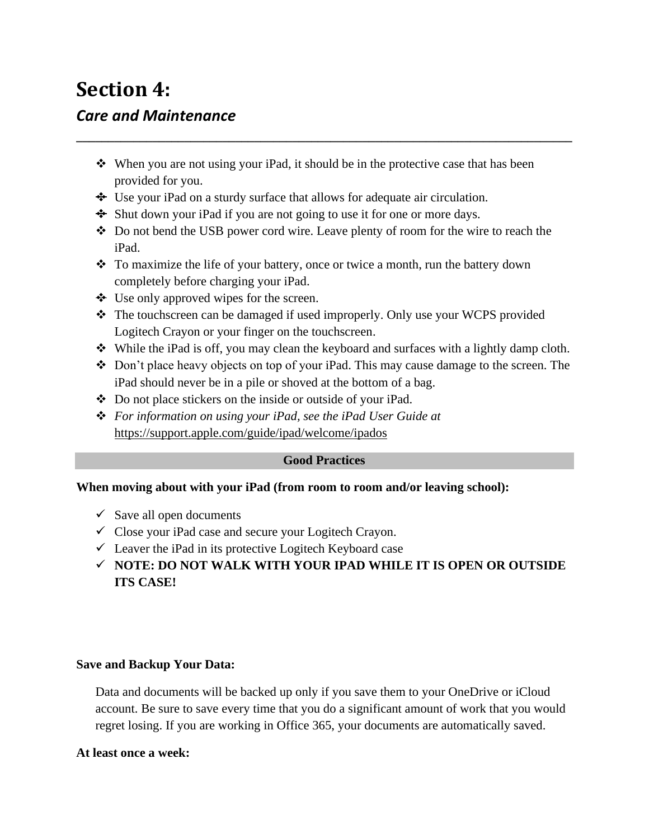### **Section 4:** *Care and Maintenance*

❖ When you are not using your iPad, it should be in the protective case that has been provided for you.

**\_\_\_\_\_\_\_\_\_\_\_\_\_\_\_\_\_\_\_\_\_\_\_\_\_\_\_\_\_\_\_\_\_\_\_\_\_\_\_\_\_\_\_\_\_\_\_\_\_\_\_\_\_\_\_\_\_\_\_\_\_\_\_\_\_\_\_\_\_\_\_\_\_\_\_\_\_\_**

- ❖ Use your iPad on a sturdy surface that allows for adequate air circulation.
- ❖ Shut down your iPad if you are not going to use it for one or more days.
- ❖ Do not bend the USB power cord wire. Leave plenty of room for the wire to reach the iPad.
- ❖ To maximize the life of your battery, once or twice a month, run the battery down completely before charging your iPad.
- ❖ Use only approved wipes for the screen.
- ❖ The touchscreen can be damaged if used improperly. Only use your WCPS provided Logitech Crayon or your finger on the touchscreen.
- ❖ While the iPad is off, you may clean the keyboard and surfaces with a lightly damp cloth.
- ❖ Don't place heavy objects on top of your iPad. This may cause damage to the screen. The iPad should never be in a pile or shoved at the bottom of a bag.
- ❖ Do not place stickers on the inside or outside of your iPad.
- ❖ *For information on using your iPad, see the iPad User Guide at*  <https://support.apple.com/guide/ipad/welcome/ipados>

#### **Good Practices**

#### **When moving about with your iPad (from room to room and/or leaving school):**

- $\checkmark$  Save all open documents
- $\checkmark$  Close your iPad case and secure your Logitech Crayon.
- $\checkmark$  Leaver the iPad in its protective Logitech Keyboard case
- ✓ **NOTE: DO NOT WALK WITH YOUR IPAD WHILE IT IS OPEN OR OUTSIDE ITS CASE!**

#### **Save and Backup Your Data:**

Data and documents will be backed up only if you save them to your OneDrive or iCloud account. Be sure to save every time that you do a significant amount of work that you would regret losing. If you are working in Office 365, your documents are automatically saved.

#### **At least once a week:**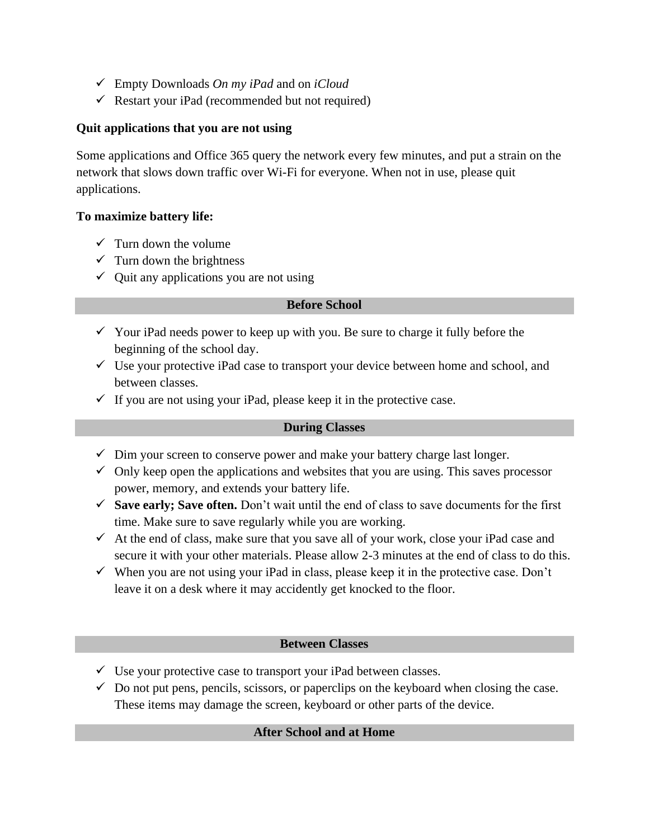- ✓ Empty Downloads *On my iPad* and on *iCloud*
- $\checkmark$  Restart your iPad (recommended but not required)

#### **Quit applications that you are not using**

Some applications and Office 365 query the network every few minutes, and put a strain on the network that slows down traffic over Wi-Fi for everyone. When not in use, please quit applications.

#### **To maximize battery life:**

- $\checkmark$  Turn down the volume
- $\checkmark$  Turn down the brightness
- $\checkmark$  Quit any applications you are not using

#### **Before School**

- $\checkmark$  Your iPad needs power to keep up with you. Be sure to charge it fully before the beginning of the school day.
- $\checkmark$  Use your protective iPad case to transport your device between home and school, and between classes.
- $\checkmark$  If you are not using your iPad, please keep it in the protective case.

#### **During Classes**

- $\checkmark$  Dim your screen to conserve power and make your battery charge last longer.
- $\checkmark$  Only keep open the applications and websites that you are using. This saves processor power, memory, and extends your battery life.
- ✓ **Save early; Save often.** Don't wait until the end of class to save documents for the first time. Make sure to save regularly while you are working.
- $\checkmark$  At the end of class, make sure that you save all of your work, close your iPad case and secure it with your other materials. Please allow 2-3 minutes at the end of class to do this.
- $\checkmark$  When you are not using your iPad in class, please keep it in the protective case. Don't leave it on a desk where it may accidently get knocked to the floor.

#### **Between Classes**

- $\checkmark$  Use your protective case to transport your iPad between classes.
- $\checkmark$  Do not put pens, pencils, scissors, or paperclips on the keyboard when closing the case. These items may damage the screen, keyboard or other parts of the device.

#### **After School and at Home**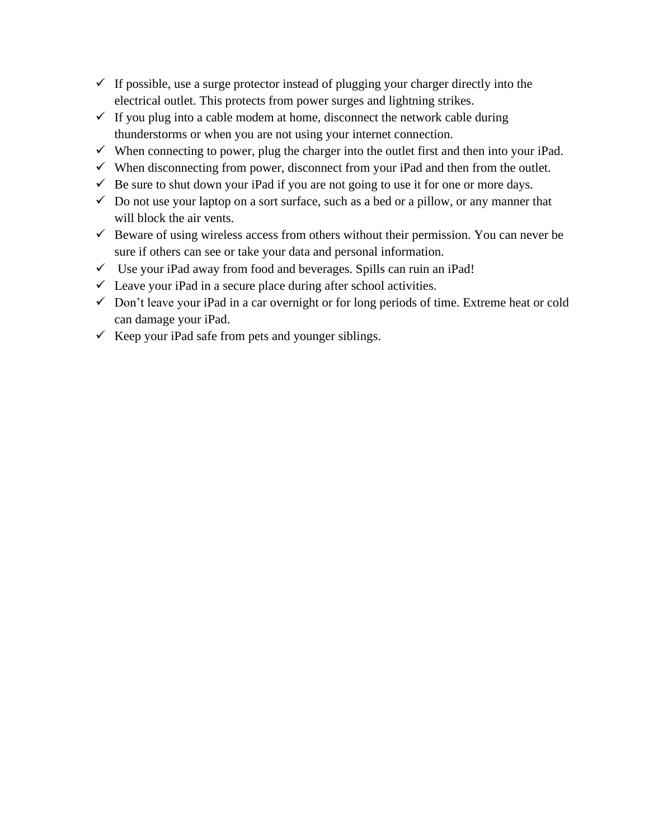- $\checkmark$  If possible, use a surge protector instead of plugging your charger directly into the electrical outlet. This protects from power surges and lightning strikes.
- $\checkmark$  If you plug into a cable modem at home, disconnect the network cable during thunderstorms or when you are not using your internet connection.
- $\checkmark$  When connecting to power, plug the charger into the outlet first and then into your iPad.
- $\checkmark$  When disconnecting from power, disconnect from your iPad and then from the outlet.
- $\checkmark$  Be sure to shut down your iPad if you are not going to use it for one or more days.
- $\checkmark$  Do not use your laptop on a sort surface, such as a bed or a pillow, or any manner that will block the air vents.
- $\checkmark$  Beware of using wireless access from others without their permission. You can never be sure if others can see or take your data and personal information.
- $\checkmark$  Use your iPad away from food and beverages. Spills can ruin an iPad!
- $\checkmark$  Leave your iPad in a secure place during after school activities.
- $\checkmark$  Don't leave your iPad in a car overnight or for long periods of time. Extreme heat or cold can damage your iPad.
- $\checkmark$  Keep your iPad safe from pets and younger siblings.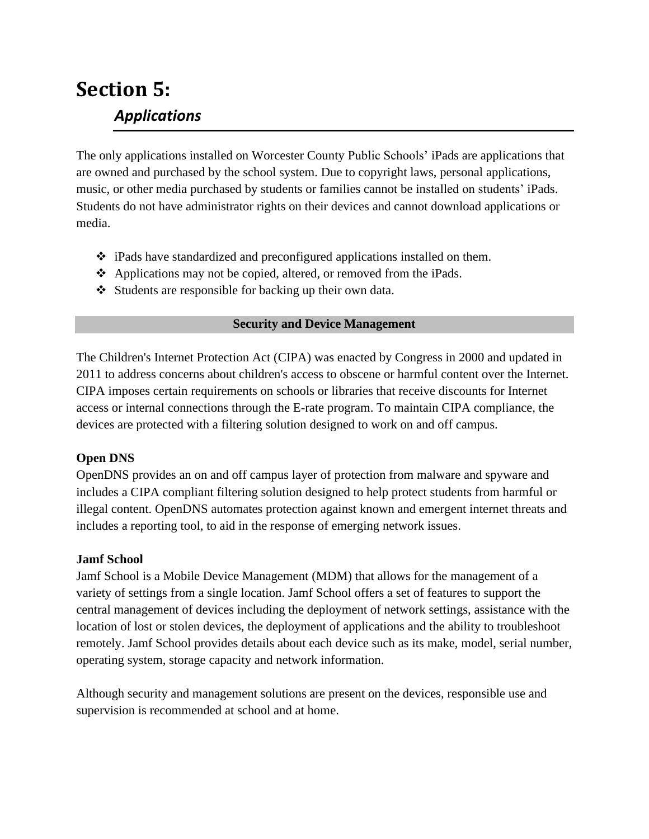# **Section 5:** *Applications*

The only applications installed on Worcester County Public Schools' iPads are applications that are owned and purchased by the school system. Due to copyright laws, personal applications, music, or other media purchased by students or families cannot be installed on students' iPads. Students do not have administrator rights on their devices and cannot download applications or media.

- ❖ iPads have standardized and preconfigured applications installed on them.
- ❖ Applications may not be copied, altered, or removed from the iPads.
- ❖ Students are responsible for backing up their own data.

#### **Security and Device Management**

The Children's Internet Protection Act (CIPA) was enacted by Congress in 2000 and updated in 2011 to address concerns about children's access to obscene or harmful content over the Internet. CIPA imposes certain requirements on schools or libraries that receive discounts for Internet access or internal connections through the E-rate program. To maintain CIPA compliance, the devices are protected with a filtering solution designed to work on and off campus.

#### **Open DNS**

OpenDNS provides an on and off campus layer of protection from malware and spyware and includes a CIPA compliant filtering solution designed to help protect students from harmful or illegal content. OpenDNS automates protection against known and emergent internet threats and includes a reporting tool, to aid in the response of emerging network issues.

#### **Jamf School**

Jamf School is a Mobile Device Management (MDM) that allows for the management of a variety of settings from a single location. Jamf School offers a set of features to support the central management of devices including the deployment of network settings, assistance with the location of lost or stolen devices, the deployment of applications and the ability to troubleshoot remotely. Jamf School provides details about each device such as its make, model, serial number, operating system, storage capacity and network information.

Although security and management solutions are present on the devices, responsible use and supervision is recommended at school and at home.